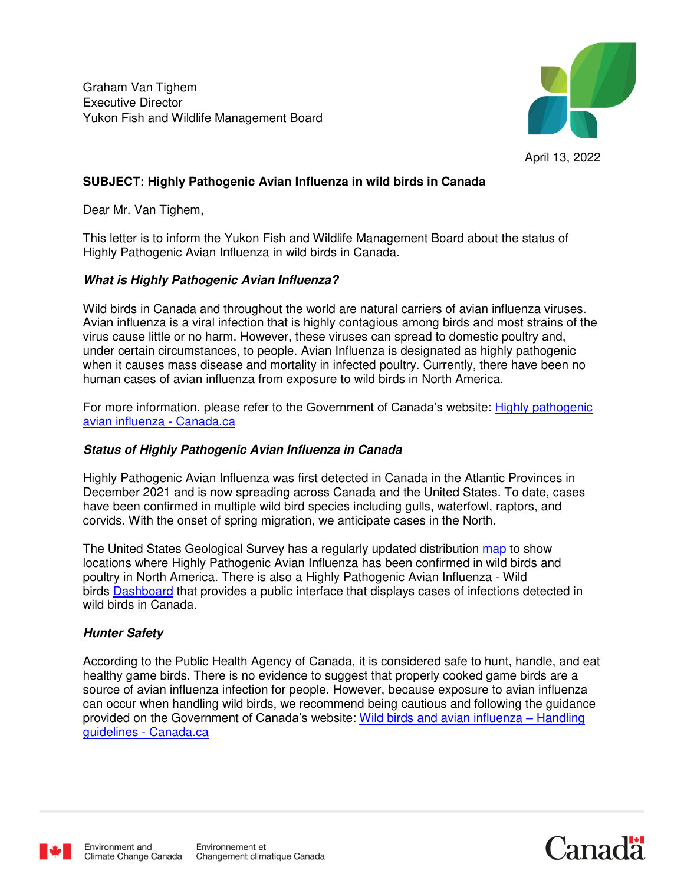Graham Van Tighem Executive Director Yukon Fish and Wildlife Management Board



# **SUBJECT: Highly Pathogenic Avian Influenza in wild birds in Canada**

Dear Mr. Van Tighem,

This letter is to inform the Yukon Fish and Wildlife Management Board about the status of Highly Pathogenic Avian Influenza in wild birds in Canada.

### **What is Highly Pathogenic Avian Influenza?**

Wild birds in Canada and throughout the world are natural carriers of avian influenza viruses. Avian influenza is a viral infection that is highly contagious among birds and most strains of the virus cause little or no harm. However, these viruses can spread to domestic poultry and, under certain circumstances, to people. Avian Influenza is designated as highly pathogenic when it causes mass disease and mortality in infected poultry. Currently, there have been no human cases of avian influenza from exposure to wild birds in North America.

For more information, please refer to the Government of Canada's website: [Highly pathogenic](https://www.canada.ca/en/environment-climate-change/services/migratory-game-bird-hunting/highly-pathogenic-avian-influenza.html)  [avian influenza - Canada.ca](https://www.canada.ca/en/environment-climate-change/services/migratory-game-bird-hunting/highly-pathogenic-avian-influenza.html) 

#### **Status of Highly Pathogenic Avian Influenza in Canada**

Highly Pathogenic Avian Influenza was first detected in Canada in the Atlantic Provinces in December 2021 and is now spreading across Canada and the United States. To date, cases have been confirmed in multiple wild bird species including gulls, waterfowl, raptors, and corvids. With the onset of spring migration, we anticipate cases in the North.

The United States Geological Survey has a regularly updated distribution [map](https://www.usgs.gov/media/images/distribution-highly-pathogenic-avian-influenza-h5-and-h5n1-north-america-20212022) to show locations where Highly Pathogenic Avian Influenza has been confirmed in wild birds and poultry in North America. There is also a Highly Pathogenic Avian Influenza - Wild birds [Dashboard](https://cfia-ncr.maps.arcgis.com/apps/dashboards/89c779e98cdf492c899df23e1c38fdbc) that provides a public interface that displays cases of infections detected in wild birds in Canada.

#### **Hunter Safety**

According to the Public Health Agency of Canada, it is considered safe to hunt, handle, and eat healthy game birds. There is no evidence to suggest that properly cooked game birds are a source of avian influenza infection for people. However, because exposure to avian influenza can occur when handling wild birds, we recommend being cautious and following the guidance provided on the Government of Canada's website: [Wild birds and avian influenza](https://www.canada.ca/en/public-health/services/flu-influenza/fact-sheet-guidance-on-precautions-handling-wild-birds.html) – Handling [guidelines - Canada.ca](https://www.canada.ca/en/public-health/services/flu-influenza/fact-sheet-guidance-on-precautions-handling-wild-birds.html)